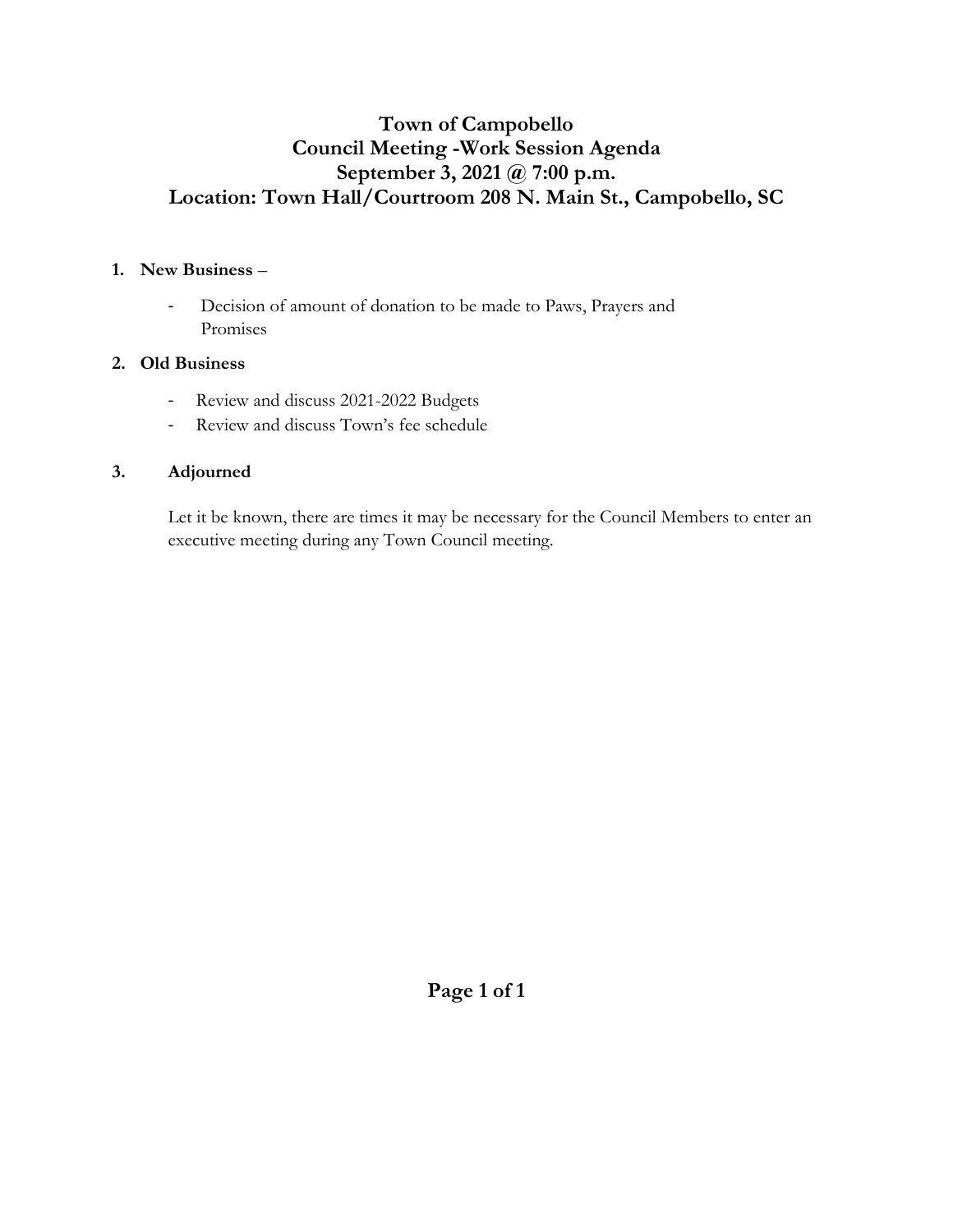# **Town of Campobello Council Meeting -Work Session Agenda September 3, 2021 @ 7:00 p.m. Location: Town Hall/Courtroom 208 N. Main St., Campobello, SC**

# **1. New Business** –

- Decision of amount of donation to be made to Paws, Prayers and Promises

# **2. Old Business**

- Review and discuss 2021-2022 Budgets
- Review and discuss Town's fee schedule

# **3. Adjourned**

Let it be known, there are times it may be necessary for the Council Members to enter an executive meeting during any Town Council meeting.

**Page 1 of 1**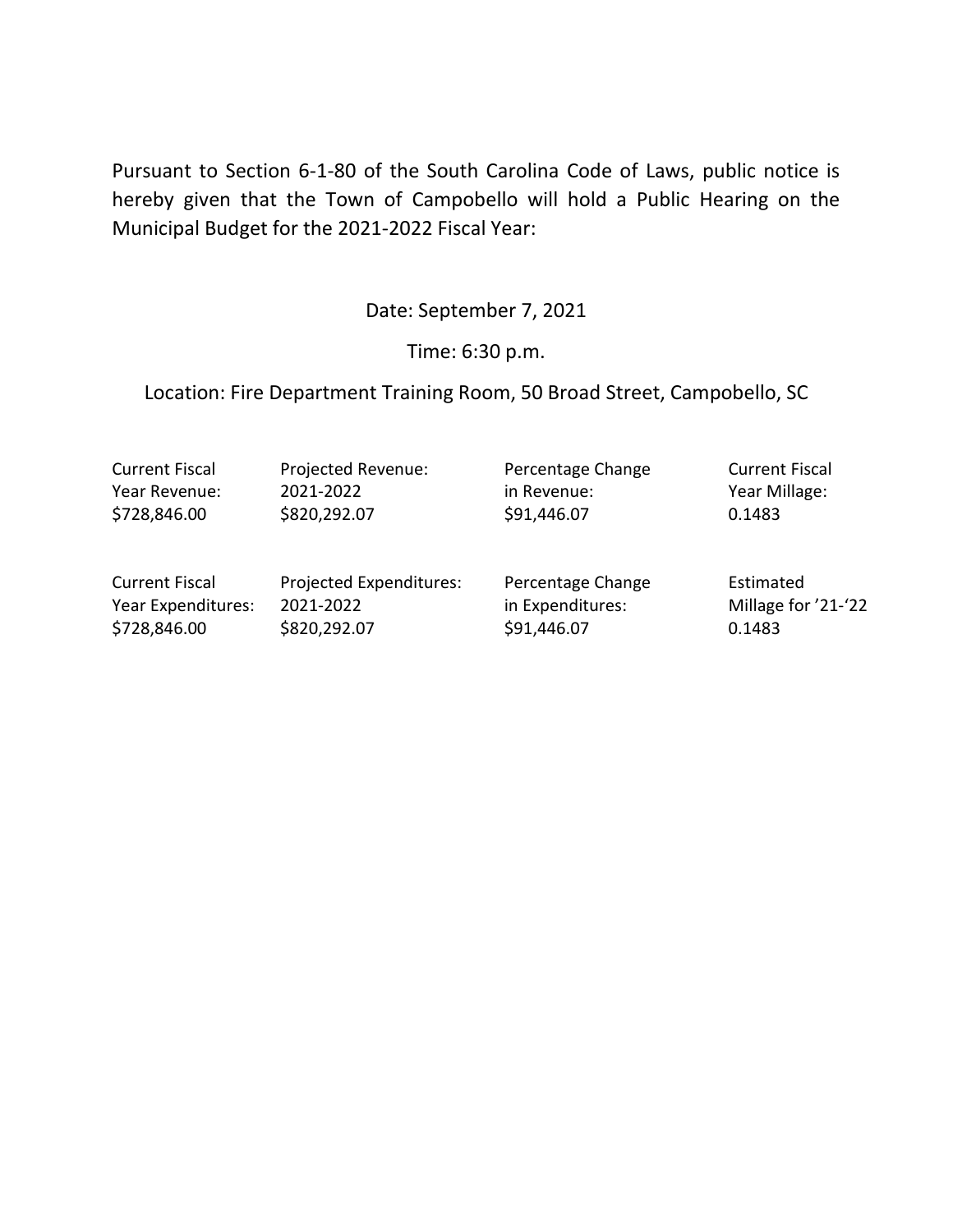Pursuant to Section 6-1-80 of the South Carolina Code of Laws, public notice is hereby given that the Town of Campobello will hold a Public Hearing on the Municipal Budget for the 2021-2022 Fiscal Year:

Date: September 7, 2021

Time: 6:30 p.m.

Location: Fire Department Training Room, 50 Broad Street, Campobello, SC

Current Fiscal Projected Revenue: Percentage Change Current Fiscal Year Revenue: 2021-2022 in Revenue: Year Millage: \$728,846.00 \$820,292.07 \$91,446.07 \$91,446.07

Current Fiscal Projected Expenditures: Percentage Change Estimated Year Expenditures: 2021-2022 in Expenditures: Millage for '21-'22 \$728,846.00 \$820,292.07 \$91,446.07 \$91,446.07